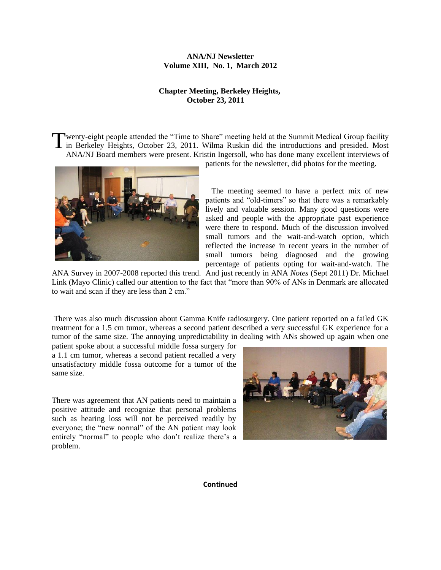## **ANA/NJ Newsletter Volume XIII, No. 1, March 2012**

## **Chapter Meeting, Berkeley Heights, October 23, 2011**

wenty-eight people attended the "Time to Share" meeting held at the Summit Medical Group facility Twenty-eight people attended the "Time to Share" meeting held at the Summit Medical Group facility<br>in Berkeley Heights, October 23, 2011. Wilma Ruskin did the introductions and presided. Most ANA/NJ Board members were present. Kristin Ingersoll, who has done many excellent interviews of



patients for the newsletter, did photos for the meeting.

 The meeting seemed to have a perfect mix of new patients and "old-timers" so that there was a remarkably lively and valuable session. Many good questions were asked and people with the appropriate past experience were there to respond. Much of the discussion involved small tumors and the wait-and-watch option, which reflected the increase in recent years in the number of small tumors being diagnosed and the growing percentage of patients opting for wait-and-watch. The

ANA Survey in 2007-2008 reported this trend. And just recently in ANA *Notes* (Sept 2011) Dr. Michael Link (Mayo Clinic) called our attention to the fact that "more than 90% of ANs in Denmark are allocated to wait and scan if they are less than 2 cm."

There was also much discussion about Gamma Knife radiosurgery. One patient reported on a failed GK treatment for a 1.5 cm tumor, whereas a second patient described a very successful GK experience for a tumor of the same size. The annoying unpredictability in dealing with ANs showed up again when one

patient spoke about a successful middle fossa surgery for a 1.1 cm tumor, whereas a second patient recalled a very unsatisfactory middle fossa outcome for a tumor of the same size.

There was agreement that AN patients need to maintain a positive attitude and recognize that personal problems such as hearing loss will not be perceived readily by everyone; the "new normal" of the AN patient may look entirely "normal" to people who don't realize there's a problem.



**Continued**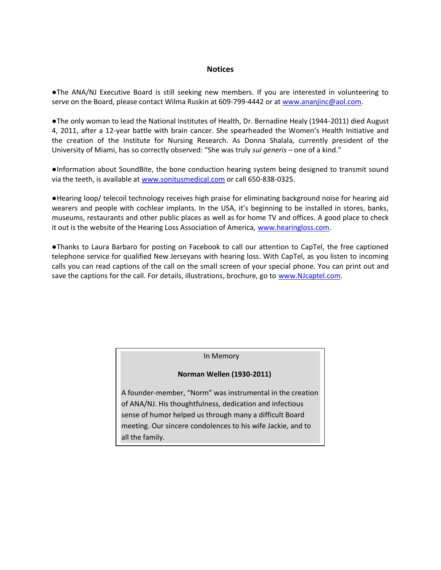## **Notices**

**●**The ANA/NJ Executive Board is still seeking new members. If you are interested in volunteering to serve on the Board, please contact Wilma Ruskin at 609-799-4442 or at [www.ananjinc@aol.com.](http://www.ananjinc@aol.com/)

●The only woman to lead the National Institutes of Health, Dr. Bernadine Healy (1944-2011) died August 4, 2011, after a 12-year battle with brain cancer. She spearheaded the Women's Health Initiative and the creation of the Institute for Nursing Research. As Donna Shalala, currently president of the University of Miami, has so correctly observed: "She was truly *sui generis* – one of a kind."

●Information about SoundBite, the bone conduction hearing system being designed to transmit sound via the teeth, is available at [www.sonitusmedical.com](http://www.sonitusmedical.com/) or call 650-838-0325.

●Hearing loop/ telecoil technology receives high praise for eliminating background noise for hearing aid wearers and people with cochlear implants. In the USA, it's beginning to be installed in stores, banks, museums, restaurants and other public places as well as for home TV and offices. A good place to check it out is the website of the Hearing Loss Association of America, [www.hearingloss.com.](http://www.hearingloss.com/)

●Thanks to Laura Barbaro for posting on Facebook to call our attention to CapTel, the free captioned telephone service for qualified New Jerseyans with hearing loss. With CapTel, as you listen to incoming calls you can read captions of the call on the small screen of your special phone. You can print out and save the captions for the call. For details, illustrations, brochure, go to [www.NJcaptel.com.](http://www.njcaptel.com/)

In Memory

## **Norman Wellen (1930-2011)**

A founder-member, "Norm" was instrumental in the creation of ANA/NJ. His thoughtfulness, dedication and infectious sense of humor helped us through many a difficult Board meeting. Our sincere condolences to his wife Jackie, and to all the family.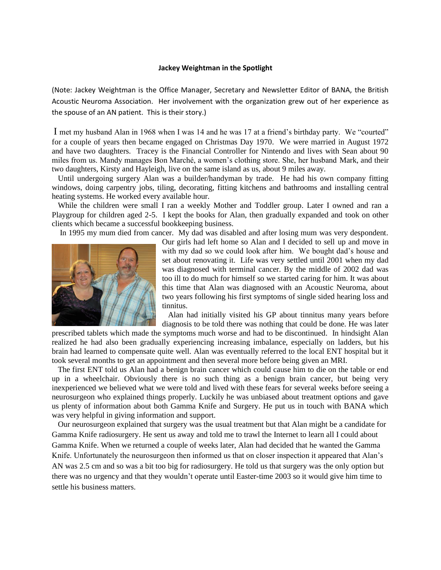#### **Jackey Weightman in the Spotlight**

(Note: Jackey Weightman is the Office Manager, Secretary and Newsletter Editor of BANA, the British Acoustic Neuroma Association. Her involvement with the organization grew out of her experience as the spouse of an AN patient. This is their story.)

I met my husband Alan in 1968 when I was 14 and he was 17 at a friend"s birthday party. We "courted" for a couple of years then became engaged on Christmas Day 1970. We were married in August 1972 and have two daughters. Tracey is the Financial Controller for Nintendo and lives with Sean about 90 miles from us. Mandy manages Bon Marché, a women"s clothing store. She, her husband Mark, and their two daughters, Kirsty and Hayleigh, live on the same island as us, about 9 miles away.

 Until undergoing surgery Alan was a builder/handyman by trade. He had his own company fitting windows, doing carpentry jobs, tiling, decorating, fitting kitchens and bathrooms and installing central heating systems. He worked every available hour.

 While the children were small I ran a weekly Mother and Toddler group. Later I owned and ran a Playgroup for children aged 2-5. I kept the books for Alan, then gradually expanded and took on other clients which became a successful bookkeeping business.

In 1995 my mum died from cancer. My dad was disabled and after losing mum was very despondent.



Our girls had left home so Alan and I decided to sell up and move in with my dad so we could look after him. We bought dad"s house and set about renovating it. Life was very settled until 2001 when my dad was diagnosed with terminal cancer. By the middle of 2002 dad was too ill to do much for himself so we started caring for him. It was about this time that Alan was diagnosed with an Acoustic Neuroma, about two years following his first symptoms of single sided hearing loss and tinnitus.

 Alan had initially visited his GP about tinnitus many years before diagnosis to be told there was nothing that could be done. He was later

prescribed tablets which made the symptoms much worse and had to be discontinued. In hindsight Alan realized he had also been gradually experiencing increasing imbalance, especially on ladders, but his brain had learned to compensate quite well. Alan was eventually referred to the local ENT hospital but it took several months to get an appointment and then several more before being given an MRI.

 The first ENT told us Alan had a benign brain cancer which could cause him to die on the table or end up in a wheelchair. Obviously there is no such thing as a benign brain cancer, but being very inexperienced we believed what we were told and lived with these fears for several weeks before seeing a neurosurgeon who explained things properly. Luckily he was unbiased about treatment options and gave us plenty of information about both Gamma Knife and Surgery. He put us in touch with BANA which was very helpful in giving information and support.

 Our neurosurgeon explained that surgery was the usual treatment but that Alan might be a candidate for Gamma Knife radiosurgery. He sent us away and told me to trawl the Internet to learn all I could about Gamma Knife. When we returned a couple of weeks later, Alan had decided that he wanted the Gamma Knife. Unfortunately the neurosurgeon then informed us that on closer inspection it appeared that Alan"s AN was 2.5 cm and so was a bit too big for radiosurgery. He told us that surgery was the only option but there was no urgency and that they wouldn"t operate until Easter-time 2003 so it would give him time to settle his business matters.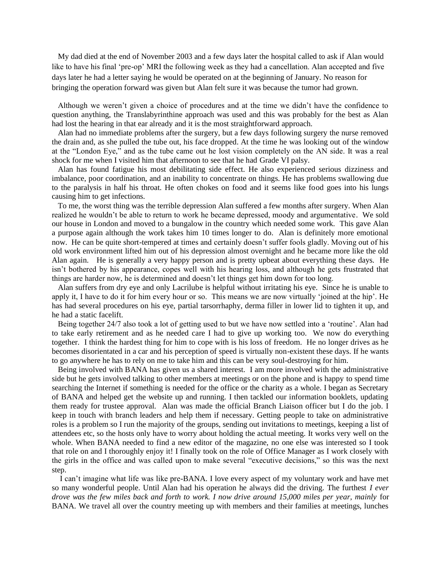My dad died at the end of November 2003 and a few days later the hospital called to ask if Alan would like to have his final 'pre-op' MRI the following week as they had a cancellation. Alan accepted and five days later he had a letter saying he would be operated on at the beginning of January. No reason for bringing the operation forward was given but Alan felt sure it was because the tumor had grown.

 Although we weren"t given a choice of procedures and at the time we didn"t have the confidence to question anything, the Translabyrinthine approach was used and this was probably for the best as Alan had lost the hearing in that ear already and it is the most straightforward approach.

 Alan had no immediate problems after the surgery, but a few days following surgery the nurse removed the drain and, as she pulled the tube out, his face dropped. At the time he was looking out of the window at the "London Eye," and as the tube came out he lost vision completely on the AN side. It was a real shock for me when I visited him that afternoon to see that he had Grade VI palsy.

 Alan has found fatigue his most debilitating side effect. He also experienced serious dizziness and imbalance, poor coordination, and an inability to concentrate on things. He has problems swallowing due to the paralysis in half his throat. He often chokes on food and it seems like food goes into his lungs causing him to get infections.

 To me, the worst thing was the terrible depression Alan suffered a few months after surgery. When Alan realized he wouldn"t be able to return to work he became depressed, moody and argumentative. We sold our house in London and moved to a bungalow in the country which needed some work. This gave Alan a purpose again although the work takes him 10 times longer to do. Alan is definitely more emotional now. He can be quite short-tempered at times and certainly doesn"t suffer fools gladly. Moving out of his old work environment lifted him out of his depression almost overnight and he became more like the old Alan again. He is generally a very happy person and is pretty upbeat about everything these days. He isn"t bothered by his appearance, copes well with his hearing loss, and although he gets frustrated that things are harder now, he is determined and doesn"t let things get him down for too long.

 Alan suffers from dry eye and only Lacrilube is helpful without irritating his eye. Since he is unable to apply it, I have to do it for him every hour or so. This means we are now virtually "joined at the hip". He has had several procedures on his eye, partial tarsorrhaphy, derma filler in lower lid to tighten it up, and he had a static facelift.

 Being together 24/7 also took a lot of getting used to but we have now settled into a "routine". Alan had to take early retirement and as he needed care I had to give up working too. We now do everything together. I think the hardest thing for him to cope with is his loss of freedom. He no longer drives as he becomes disorientated in a car and his perception of speed is virtually non-existent these days. If he wants to go anywhere he has to rely on me to take him and this can be very soul-destroying for him.

 Being involved with BANA has given us a shared interest. I am more involved with the administrative side but he gets involved talking to other members at meetings or on the phone and is happy to spend time searching the Internet if something is needed for the office or the charity as a whole. I began as Secretary of BANA and helped get the website up and running. I then tackled our information booklets, updating them ready for trustee approval. Alan was made the official Branch Liaison officer but I do the job. I keep in touch with branch leaders and help them if necessary. Getting people to take on administrative roles is a problem so I run the majority of the groups, sending out invitations to meetings, keeping a list of attendees etc, so the hosts only have to worry about holding the actual meeting. It works very well on the whole. When BANA needed to find a new editor of the magazine, no one else was interested so I took that role on and I thoroughly enjoy it! I finally took on the role of Office Manager as I work closely with the girls in the office and was called upon to make several "executive decisions," so this was the next step.

 I can"t imagine what life was like pre-BANA. I love every aspect of my voluntary work and have met so many wonderful people. Until Alan had his operation he always did the driving. The furthest *I ever drove was the few miles back and forth to work. I now drive around 15,000 miles per year, mainly* for BANA. We travel all over the country meeting up with members and their families at meetings, lunches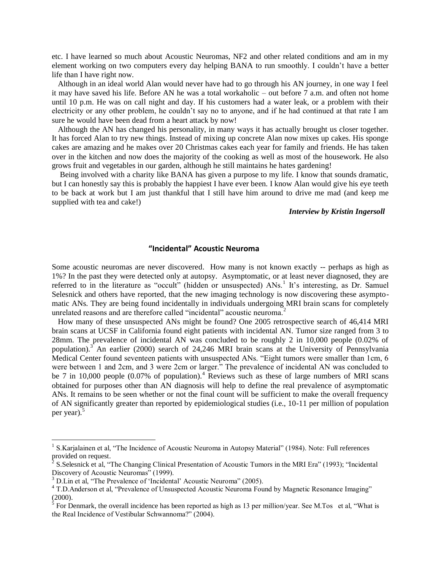etc. I have learned so much about Acoustic Neuromas, NF2 and other related conditions and am in my element working on two computers every day helping BANA to run smoothly. I couldn"t have a better life than I have right now.

 Although in an ideal world Alan would never have had to go through his AN journey, in one way I feel it may have saved his life. Before AN he was a total workaholic – out before 7 a.m. and often not home until 10 p.m. He was on call night and day. If his customers had a water leak, or a problem with their electricity or any other problem, he couldn"t say no to anyone, and if he had continued at that rate I am sure he would have been dead from a heart attack by now!

 Although the AN has changed his personality, in many ways it has actually brought us closer together. It has forced Alan to try new things. Instead of mixing up concrete Alan now mixes up cakes. His sponge cakes are amazing and he makes over 20 Christmas cakes each year for family and friends. He has taken over in the kitchen and now does the majority of the cooking as well as most of the housework. He also grows fruit and vegetables in our garden, although he still maintains he hates gardening!

 Being involved with a charity like BANA has given a purpose to my life. I know that sounds dramatic, but I can honestly say this is probably the happiest I have ever been. I know Alan would give his eye teeth to be back at work but I am just thankful that I still have him around to drive me mad (and keep me supplied with tea and cake!)

## *Interview by Kristin Ingersoll*

## **"Incidental" Acoustic Neuroma**

Some acoustic neuromas are never discovered. How many is not known exactly -- perhaps as high as 1%? In the past they were detected only at autopsy. Asymptomatic, or at least never diagnosed, they are referred to in the literature as "occult" (hidden or unsuspected) ANs.<sup>1</sup> It's interesting, as Dr. Samuel Selesnick and others have reported, that the new imaging technology is now discovering these asymptomatic ANs. They are being found incidentally in individuals undergoing MRI brain scans for completely unrelated reasons and are therefore called "incidental" acoustic neuroma.<sup>2</sup>

 How many of these unsuspected ANs might be found? One 2005 retrospective search of 46,414 MRI brain scans at UCSF in California found eight patients with incidental AN. Tumor size ranged from 3 to 28mm. The prevalence of incidental AN was concluded to be roughly 2 in 10,000 people (0.02% of population).<sup>3</sup> An earlier (2000) search of 24,246 MRI brain scans at the University of Pennsylvania Medical Center found seventeen patients with unsuspected ANs. "Eight tumors were smaller than 1cm, 6 were between 1 and 2cm, and 3 were 2cm or larger." The prevalence of incidental AN was concluded to be 7 in 10,000 people  $(0.07\%$  of population).<sup>4</sup> Reviews such as these of large numbers of MRI scans obtained for purposes other than AN diagnosis will help to define the real prevalence of asymptomatic ANs. It remains to be seen whether or not the final count will be sufficient to make the overall frequency of AN significantly greater than reported by epidemiological studies (i.e., 10-11 per million of population per year). $5$ 

 $\overline{a}$ 

<sup>&</sup>lt;sup>1</sup> S.Karjalainen et al, "The Incidence of Acoustic Neuroma in Autopsy Material" (1984). Note: Full references provided on request.<br> $2 \times$  Selectials at al.

<sup>&</sup>lt;sup>2</sup> S.Selesnick et al, "The Changing Clinical Presentation of Acoustic Tumors in the MRI Era" (1993); "Incidental Discovery of Acoustic Neuromas" (1999).

 $3$  D.Lin et al, "The Prevalence of 'Incidental' Acoustic Neuroma" (2005).

<sup>&</sup>lt;sup>4</sup> T.D.Anderson et al, "Prevalence of Unsuspected Acoustic Neuroma Found by Magnetic Resonance Imaging" (2000).<br><sup>5</sup> For Denmark, the overall incidence has been reported as high as 13 per million/year. See M.Tos et al, "What is

the Real Incidence of Vestibular Schwannoma?" (2004).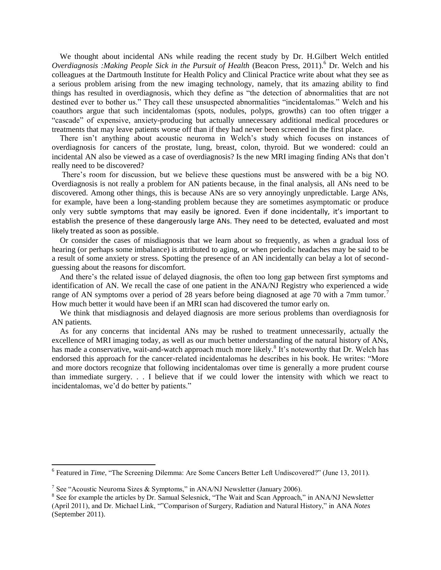We thought about incidental ANs while reading the recent study by Dr. H.Gilbert Welch entitled *Overdiagnosis :Making People Sick in the Pursuit of Health* (Beacon Press, 2011).<sup>6</sup> Dr. Welch and his colleagues at the Dartmouth Institute for Health Policy and Clinical Practice write about what they see as a serious problem arising from the new imaging technology, namely, that its amazing ability to find things has resulted in overdiagnosis, which they define as "the detection of abnormalities that are not destined ever to bother us." They call these unsuspected abnormalities "incidentalomas." Welch and his coauthors argue that such incidentalomas (spots, nodules, polyps, growths) can too often trigger a "cascade" of expensive, anxiety-producing but actually unnecessary additional medical procedures or treatments that may leave patients worse off than if they had never been screened in the first place.

There isn't anything about acoustic neuroma in Welch's study which focuses on instances of overdiagnosis for cancers of the prostate, lung, breast, colon, thyroid. But we wondered: could an incidental AN also be viewed as a case of overdiagnosis? Is the new MRI imaging finding ANs that don"t really need to be discovered?

There's room for discussion, but we believe these questions must be answered with be a big NO. Overdiagnosis is not really a problem for AN patients because, in the final analysis, all ANs need to be discovered. Among other things, this is because ANs are so very annoyingly unpredictable. Large ANs, for example, have been a long-standing problem because they are sometimes asymptomatic or produce only very subtle symptoms that may easily be ignored. Even if done incidentally, it's important to establish the presence of these dangerously large ANs. They need to be detected, evaluated and most likely treated as soon as possible.

 Or consider the cases of misdiagnosis that we learn about so frequently, as when a gradual loss of hearing (or perhaps some imbalance) is attributed to aging, or when periodic headaches may be said to be a result of some anxiety or stress. Spotting the presence of an AN incidentally can belay a lot of secondguessing about the reasons for discomfort.

And there's the related issue of delayed diagnosis, the often too long gap between first symptoms and identification of AN. We recall the case of one patient in the ANA/NJ Registry who experienced a wide range of AN symptoms over a period of 28 years before being diagnosed at age 70 with a 7mm tumor.<sup>7</sup> How much better it would have been if an MRI scan had discovered the tumor early on.

 We think that misdiagnosis and delayed diagnosis are more serious problems than overdiagnosis for AN patients.

 As for any concerns that incidental ANs may be rushed to treatment unnecessarily, actually the excellence of MRI imaging today, as well as our much better understanding of the natural history of ANs, has made a conservative, wait-and-watch approach much more likely.<sup>8</sup> It's noteworthy that Dr. Welch has endorsed this approach for the cancer-related incidentalomas he describes in his book. He writes: "More and more doctors recognize that following incidentalomas over time is generally a more prudent course than immediate surgery. . . I believe that if we could lower the intensity with which we react to incidentalomas, we"d do better by patients."

<sup>&</sup>lt;sup>6</sup> Featured in *Time*, "The Screening Dilemma: Are Some Cancers Better Left Undiscovered?" (June 13, 2011).

<sup>&</sup>lt;sup>7</sup> See "Acoustic Neuroma Sizes & Symptoms," in ANA/NJ Newsletter (January 2006).

<sup>&</sup>lt;sup>8</sup> See for example the articles by Dr. Samual Selesnick, "The Wait and Scan Approach," in ANA/NJ Newsletter (April 2011), and Dr. Michael Link, ""Comparison of Surgery, Radiation and Natural History," in ANA *Notes* (September 2011).